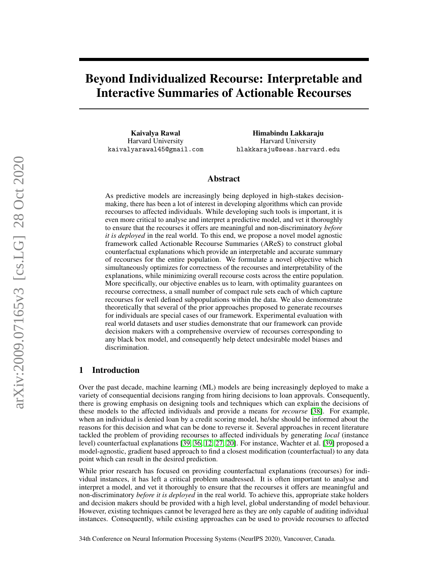# Beyond Individualized Recourse: Interpretable and Interactive Summaries of Actionable Recourses

Kaivalya Rawal Harvard University kaivalyarawal45@gmail.com

Himabindu Lakkaraju Harvard University hlakkaraju@seas.harvard.edu

# Abstract

As predictive models are increasingly being deployed in high-stakes decisionmaking, there has been a lot of interest in developing algorithms which can provide recourses to affected individuals. While developing such tools is important, it is even more critical to analyse and interpret a predictive model, and vet it thoroughly to ensure that the recourses it offers are meaningful and non-discriminatory *before it is deployed* in the real world. To this end, we propose a novel model agnostic framework called Actionable Recourse Summaries (AReS) to construct global counterfactual explanations which provide an interpretable and accurate summary of recourses for the entire population. We formulate a novel objective which simultaneously optimizes for correctness of the recourses and interpretability of the explanations, while minimizing overall recourse costs across the entire population. More specifically, our objective enables us to learn, with optimality guarantees on recourse correctness, a small number of compact rule sets each of which capture recourses for well defined subpopulations within the data. We also demonstrate theoretically that several of the prior approaches proposed to generate recourses for individuals are special cases of our framework. Experimental evaluation with real world datasets and user studies demonstrate that our framework can provide decision makers with a comprehensive overview of recourses corresponding to any black box model, and consequently help detect undesirable model biases and discrimination.

# 1 Introduction

Over the past decade, machine learning (ML) models are being increasingly deployed to make a variety of consequential decisions ranging from hiring decisions to loan approvals. Consequently, there is growing emphasis on designing tools and techniques which can explain the decisions of these models to the affected individuals and provide a means for *recourse* [\[38\]](#page-11-0). For example, when an individual is denied loan by a credit scoring model, he/she should be informed about the reasons for this decision and what can be done to reverse it. Several approaches in recent literature tackled the problem of providing recourses to affected individuals by generating *local* (instance level) counterfactual explanations [\[39,](#page-11-1) [36,](#page-11-2) [12,](#page-9-0) [27,](#page-10-0) [20\]](#page-10-1). For instance, Wachter et al. [\[39\]](#page-11-1) proposed a model-agnostic, gradient based approach to find a closest modification (counterfactual) to any data point which can result in the desired prediction.

While prior research has focused on providing counterfactual explanations (recourses) for individual instances, it has left a critical problem unadressed. It is often important to analyse and interpret a model, and vet it thoroughly to ensure that the recourses it offers are meaningful and non-discriminatory *before it is deployed* in the real world. To achieve this, appropriate stake holders and decision makers should be provided with a high level, global understanding of model behaviour. However, existing techniques cannot be leveraged here as they are only capable of auditing individual instances. Consequently, while existing approaches can be used to provide recourses to affected

34th Conference on Neural Information Processing Systems (NeurIPS 2020), Vancouver, Canada.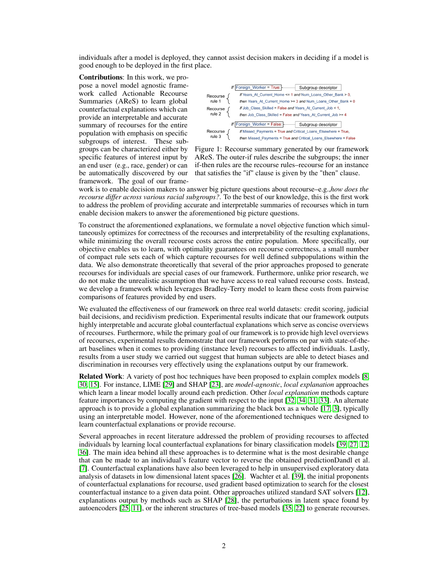individuals after a model is deployed, they cannot assist decision makers in deciding if a model is good enough to be deployed in the first place.

Contributions: In this work, we propose a novel model agnostic framework called Actionable Recourse Summaries (AReS) to learn global counterfactual explanations which can provide an interpretable and accurate summary of recourses for the entire population with emphasis on specific subgroups of interest. These subgroups can be characterized either by specific features of interest input by an end user (e.g., race, gender) or can be automatically discovered by our framework. The goal of our frame-

<span id="page-1-0"></span>

Figure 1: Recourse summary generated by our framework AReS. The outer-if rules describe the subgroups; the inner if-then rules are the recourse rules–recourse for an instance that satisfies the "if" clause is given by the "then" clause.

work is to enable decision makers to answer big picture questions about recourse–e.g.,*how does the recourse differ across various racial subgroups?*. To the best of our knowledge, this is the first work to address the problem of providing accurate and interpretable summaries of recourses which in turn enable decision makers to answer the aforementioned big picture questions.

To construct the aforementioned explanations, we formulate a novel objective function which simultaneously optimizes for correctness of the recourses and interpretability of the resulting explanations, while minimizing the overall recourse costs across the entire population. More specifically, our objective enables us to learn, with optimality guarantees on recourse correctness, a small number of compact rule sets each of which capture recourses for well defined subpopulations within the data. We also demonstrate theoretically that several of the prior approaches proposed to generate recourses for individuals are special cases of our framework. Furthermore, unlike prior research, we do not make the unrealistic assumption that we have access to real valued recourse costs. Instead, we develop a framework which leverages Bradley-Terry model to learn these costs from pairwise comparisons of features provided by end users.

We evaluated the effectiveness of our framework on three real world datasets: credit scoring, judicial bail decisions, and recidivism prediction. Experimental results indicate that our framework outputs highly interpretable and accurate global counterfactual explanations which serve as concise overviews of recourses. Furthermore, while the primary goal of our framework is to provide high level overviews of recourses, experimental results demonstrate that our framework performs on par with state-of-theart baselines when it comes to providing (instance level) recourses to affected individuals. Lastly, results from a user study we carried out suggest that human subjects are able to detect biases and discrimination in recourses very effectively using the explanations output by our framework.

Related Work: A variety of post hoc techniques have been proposed to explain complex models [\[8,](#page-9-1) [30,](#page-10-2) [15\]](#page-9-2). For instance, LIME [\[29\]](#page-10-3) and SHAP [\[23\]](#page-10-4), are *model-agnostic*, *local explanation* approaches which learn a linear model locally around each prediction. Other *local explanation* methods capture feature importances by computing the gradient with respect to the input [\[32,](#page-10-5) [34,](#page-10-6) [31,](#page-10-7) [33\]](#page-10-8). An alternate approach is to provide a global explanation summarizing the black box as a whole [\[17,](#page-10-9) [3\]](#page-9-3), typically using an interpretable model. However, none of the aforementioned techniques were designed to learn counterfactual explanations or provide recourse.

Several approaches in recent literature addressed the problem of providing recourses to affected individuals by learning local counterfactual explanations for binary classification models [\[39,](#page-11-1) [27,](#page-10-0) [12,](#page-9-0) [36\]](#page-11-2). The main idea behind all these approaches is to determine what is the most desirable change that can be made to an individual's feature vector to reverse the obtained predictionDandl et al. [\[7\]](#page-9-4). Counterfactual explanations have also been leveraged to help in unsupervised exploratory data analysis of datasets in low dimensional latent spaces [\[26\]](#page-10-10). Wachter et al. [\[39\]](#page-11-1), the initial proponents of counterfactual explanations for recourse, used gradient based optimization to search for the closest counterfactual instance to a given data point. Other approaches utilized standard SAT solvers [\[12\]](#page-9-0), explanations output by methods such as SHAP [\[28\]](#page-10-11), the perturbations in latent space found by autoencoders [\[25,](#page-10-12) [11\]](#page-9-5), or the inherent structures of tree-based models [\[35,](#page-10-13) [22\]](#page-10-14) to generate recourses.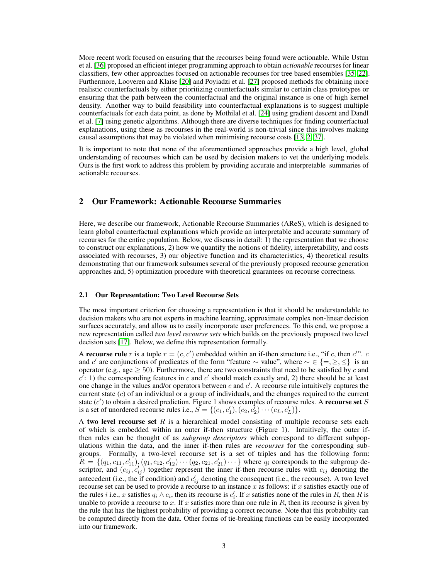More recent work focused on ensuring that the recourses being found were actionable. While Ustun et al. [\[36\]](#page-11-2) proposed an efficient integer programming approach to obtain *actionable* recourses for linear classifiers, few other approaches focused on actionable recourses for tree based ensembles [\[35,](#page-10-13) [22\]](#page-10-14). Furthermore, Looveren and Klaise [\[20\]](#page-10-1) and Poyiadzi et al. [\[27\]](#page-10-0) proposed methods for obtaining more realistic counterfactuals by either prioritizing counterfactuals similar to certain class prototypes or ensuring that the path between the counterfactual and the original instance is one of high kernel density. Another way to build feasibility into counterfactual explanations is to suggest multiple counterfactuals for each data point, as done by Mothilal et al. [\[24\]](#page-10-15) using gradient descent and Dandl et al. [\[7\]](#page-9-4) using genetic algorithms. Although there are diverse techniques for finding counterfactual explanations, using these as recourses in the real-world is non-trivial since this involves making causal assumptions that may be violated when minimising recourse costs [\[13,](#page-9-6) [2,](#page-9-7) [37\]](#page-11-3).

It is important to note that none of the aforementioned approaches provide a high level, global understanding of recourses which can be used by decision makers to vet the underlying models. Ours is the first work to address this problem by providing accurate and interpretable summaries of actionable recourses.

# 2 Our Framework: Actionable Recourse Summaries

Here, we describe our framework, Actionable Recourse Summaries (AReS), which is designed to learn global counterfactual explanations which provide an interpretable and accurate summary of recourses for the entire population. Below, we discuss in detail: 1) the representation that we choose to construct our explanations, 2) how we quantify the notions of fidelity, interpretability, and costs associated with recourses, 3) our objective function and its characteristics, 4) theoretical results demonstrating that our framework subsumes several of the previously proposed recourse generation approaches and, 5) optimization procedure with theoretical guarantees on recourse correctness.

#### 2.1 Our Representation: Two Level Recourse Sets

The most important criterion for choosing a representation is that it should be understandable to decision makers who are not experts in machine learning, approximate complex non-linear decision surfaces accurately, and allow us to easily incorporate user preferences. To this end, we propose a new representation called *two level recourse sets* which builds on the previously proposed two level decision sets [\[17\]](#page-10-9). Below, we define this representation formally.

A recourse rule r is a tuple  $r = (c, c')$  embedded within an if-then structure i.e., "if c, then c'". c and c' are conjunctions of predicates of the form "feature  $\sim$  value", where  $\sim \in \{ =, \geq, \leq \}$  is an operator (e.g., age  $\geq$  50). Furthermore, there are two constraints that need to be satisfied by c and  $c^{\prime}$ : 1) the corresponding features in c and c' should match exactly and, 2) there should be at least one change in the values and/or operators between  $c$  and  $c'$ . A recourse rule intuitively captures the current state  $(c)$  of an individual or a group of individuals, and the changes required to the current state  $(c')$  to obtain a desired prediction. Figure 1 shows examples of recourse rules. A recourse set S is a set of unordered recourse rules i.e.,  $S = \{(c_1, c'_1), (c_2, c'_2) \cdots (c_L, c'_L)\}.$ 

A two level recourse set  $R$  is a hierarchical model consisting of multiple recourse sets each of which is embedded within an outer if-then structure (Figure 1). Intuitively, the outer ifthen rules can be thought of as *subgroup descriptors* which correspond to different subpopulations within the data, and the inner if-then rules are *recourses* for the corresponding subgroups. Formally, a two-level recourse set is a set of triples and has the following form:  $R = \{(q_1, c_{11}, c'_{11}), (q_1, c_{12}, c'_{12}) \cdots (q_2, c_{21}, c'_{21}) \cdots\}$  where  $q_i$  corresponds to the subgroup descriptor, and  $(c_{ij}, c'_{ij})$  together represent the inner if-then recourse rules with  $c_{ij}$  denoting the antecedent (i.e., the if condition) and  $c'_{ij}$  denoting the consequent (i.e., the recourse). A two level recourse set can be used to provide a recourse to an instance x as follows: if x satisfies exactly one of the rules *i* i.e., x satisfies  $q_i \wedge c_i$ , then its recourse is  $c'_i$ . If x satisfies none of the rules in R, then R is unable to provide a recourse to x. If x satisfies more than one rule in  $R$ , then its recourse is given by the rule that has the highest probability of providing a correct recourse. Note that this probability can be computed directly from the data. Other forms of tie-breaking functions can be easily incorporated into our framework.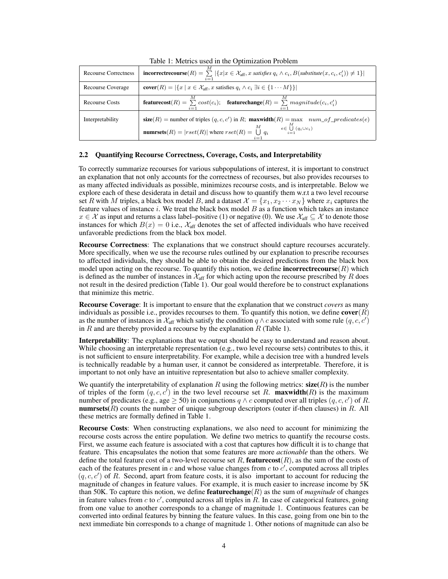<span id="page-3-0"></span>

| raore 1, metrico abet in the optimization i roorem |                                                                                                                                                                                                                             |  |  |  |  |  |
|----------------------------------------------------|-----------------------------------------------------------------------------------------------------------------------------------------------------------------------------------------------------------------------------|--|--|--|--|--|
| <b>Recourse Correctness</b>                        | <b>incorrectrecourse</b> $(R) = \sum  \{x   x \in \mathcal{X}_{\text{aff}}, x \text{ satisfies } q_i \wedge c_i, B(\text{substitute}(x, c_i, c'_i)) \neq 1\} $<br>$i=1$                                                     |  |  |  |  |  |
| Recourse Coverage                                  | <b>cover</b> $(R) =  \{x \mid x \in \mathcal{X}_{\text{aff}}, x \text{ satisfies } q_i \wedge c_i \exists i \in \{1 \cdots M\}\} $                                                                                          |  |  |  |  |  |
| <b>Recourse Costs</b>                              | featurecost(R) = $\sum cost(c_i)$ ; featurechange(R) = $\sum magnitude(c_i, c'_i)$<br>$i=1$<br>$i=1$                                                                                                                        |  |  |  |  |  |
| Interpretability                                   | size(R) = number of triples $(q, c, c')$ in R; maxwidth(R) = max num_of_predicates(e)<br>М<br>$e \in \bigcup (q_i \cup c_i)$<br><b>numrsets</b> $(R) =  rset(R) $ where $rset(R) = \bigcup_{i=1}^{M} q_i$<br>$i-1$<br>$i=1$ |  |  |  |  |  |

Table 1: Metrics used in the Optimization Problem

### 2.2 Quantifying Recourse Correctness, Coverage, Costs, and Interpretability

To correctly summarize recourses for various subpopulations of interest, it is important to construct an explanation that not only accounts for the correctness of recourses, but also provides recourses to as many affected individuals as possible, minimizes recourse costs, and is interpretable. Below we explore each of these desiderata in detail and discuss how to quantify them w.r.t a two level recourse set R with M triples, a black box model B, and a dataset  $\mathcal{X} = \{x_1, x_2 \cdots x_N\}$  where  $x_i$  captures the feature values of instance  $i$ . We treat the black box model  $B$  as a function which takes an instance  $x \in \mathcal{X}$  as input and returns a class label–positive (1) or negative (0). We use  $\mathcal{X}_{\text{aff}} \subseteq \mathcal{X}$  to denote those instances for which  $B(x) = 0$  i.e.,  $\mathcal{X}_{\text{aff}}$  denotes the set of affected individuals who have received unfavorable predictions from the black box model.

Recourse Correctness: The explanations that we construct should capture recourses accurately. More specifically, when we use the recourse rules outlined by our explanation to prescribe recourses to affected individuals, they should be able to obtain the desired predictions from the black box model upon acting on the recourse. To quantify this notion, we define **incorrectrecourse** $(R)$  which is defined as the number of instances in  $\mathcal{X}_{\text{aff}}$  for which acting upon the recourse prescribed by R does not result in the desired prediction (Table 1). Our goal would therefore be to construct explanations that minimize this metric.

Recourse Coverage: It is important to ensure that the explanation that we construct *covers* as many individuals as possible i.e., provides recourses to them. To quantify this notion, we define  $cover(R)$ as the number of instances in  $\mathcal{X}_{\text{aff}}$  which satisfy the condition  $q \wedge c$  associated with some rule  $(q, c, c')$ in  $R$  and are thereby provided a recourse by the explanation  $R$  (Table 1).

Interpretability: The explanations that we output should be easy to understand and reason about. While choosing an interpretable representation (e.g., two level recourse sets) contributes to this, it is not sufficient to ensure interpretability. For example, while a decision tree with a hundred levels is technically readable by a human user, it cannot be considered as interpretable. Therefore, it is important to not only have an intuitive representation but also to achieve smaller complexity.

We quantify the interpretability of explanation R using the following metrics:  $size(R)$  is the number of triples of the form  $(q, c, c')$  in the two level recourse set R. **maxwidth**(R) is the maximum number of predicates (e.g., age  $\geq$  50) in conjunctions  $q \wedge c$  computed over all triples  $(q, c, c')$  of R. **numrsets** $(R)$  counts the number of unique subgroup descriptors (outer if-then clauses) in R. All these metrics are formally defined in Table 1.

Recourse Costs: When constructing explanations, we also need to account for minimizing the recourse costs across the entire population. We define two metrics to quantify the recourse costs. First, we assume each feature is associated with a cost that captures how difficult it is to change that feature. This encapsulates the notion that some features are more *actionable* than the others. We define the total feature cost of a two-level recourse set R, **featurecost** $(R)$ , as the sum of the costs of each of the features present in c and whose value changes from c to  $c'$ , computed across all triples  $(q, c, c')$  of R. Second, apart from feature costs, it is also important to account for reducing the magnitude of changes in feature values. For example, it is much easier to increase income by 5K than 50K. To capture this notion, we define **featurechange**( $R$ ) as the sum of *magnitude* of changes in feature values from c to c', computed across all triples in  $\overline{R}$ . In case of categorical features, going from one value to another corresponds to a change of magnitude 1. Continuous features can be converted into ordinal features by binning the feature values. In this case, going from one bin to the next immediate bin corresponds to a change of magnitude 1. Other notions of magnitude can also be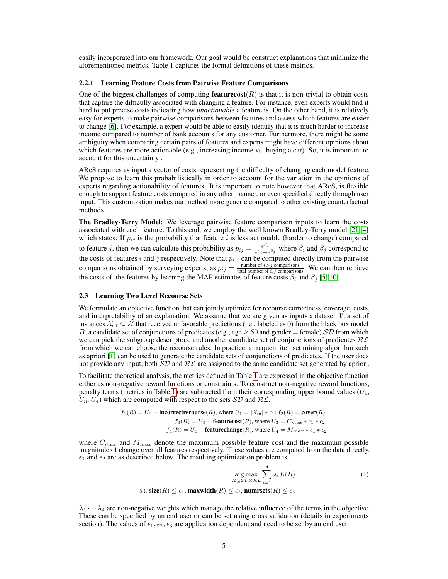easily incorporated into our framework. Our goal would be construct explanations that minimize the aforementioned metrics. Table 1 captures the formal definitions of these metrics.

#### 2.2.1 Learning Feature Costs from Pairwise Feature Comparisons

One of the biggest challenges of computing **featurecost**( $R$ ) is that it is non-trivial to obtain costs that capture the difficulty associated with changing a feature. For instance, even experts would find it hard to put precise costs indicating how *unactionable* a feature is. On the other hand, it is relatively easy for experts to make pairwise comparisons between features and assess which features are easier to change [\[6\]](#page-9-8). For example, a expert would be able to easily identify that it is much harder to increase income compared to number of bank accounts for any customer. Furthermore, there might be some ambiguity when comparing certain pairs of features and experts might have different opinions about which features are more actionable (e.g., increasing income vs. buying a car). So, it is important to account for this uncertainty .

AReS requires as input a vector of costs representing the difficulty of changing each model feature. We propose to learn this probabilistically in order to account for the variation in the opinions of experts regarding actionability of features. It is important to note however that AReS, is flexible enough to support feature costs computed in any other manner, or even specified directly through user input. This customization makes our method more generic compared to other existing counterfactual methods.

The Bradley-Terry Model: We leverage pairwise feature comparison inputs to learn the costs associated with each feature. To this end, we employ the well known Bradley-Terry model [\[21,](#page-10-16) [4\]](#page-9-9) which states: If  $p_{ij}$  is the probability that feature i is less actionable (harder to change) compared to feature j, then we can calculate this probability as  $p_{ij} = \frac{e^{\beta_i}}{e^{\beta_i}}$  $\frac{e^{\beta i}e^{-\beta i}}{e^{\beta i}+e^{\beta j}}$  where  $\beta_i$  and  $\beta_j$  correspond to the costs of features i and j respectively. Note that  $p_{i,j}$  can be computed directly from the pairwise comparisons obtained by surveying experts, as  $p_{ij} = \frac{\text{number of } i > j \text{ comparisons}}{\text{total number of } i, j \text{ comparisons}}$ . We can then retrieve the costs of the features by learning the MAP estimates of feature costs  $\beta_i$  and  $\beta_j$  [\[5,](#page-9-10) [10\]](#page-9-11).

### 2.3 Learning Two Level Recourse Sets

We formulate an objective function that can jointly optimize for recourse correctness, coverage, costs, and interpretability of an explanation. We assume that we are given as inputs a dataset  $\mathcal{X}$ , a set of instances  $\mathcal{X}_{\text{aff}} \subseteq \mathcal{X}$  that received unfavorable predictions (i.e., labeled as 0) from the black box model B, a candidate set of conjunctions of predicates (e.g., age  $\geq$  50 and gender = female)  $\mathcal{SD}$  from which we can pick the subgroup descriptors, and another candidate set of conjunctions of predicates  $\mathcal{RL}$ from which we can choose the recourse rules. In practice, a frequent itemset mining algorithm such as apriori [\[1\]](#page-9-12) can be used to generate the candidate sets of conjunctions of predicates. If the user does not provide any input, both  $\mathcal{SD}$  and  $\mathcal{RL}$  are assigned to the same candidate set generated by apriori.

To facilitate theoretical analysis, the metrics defined in Table [1](#page-3-0) are expressed in the objective function either as non-negative reward functions or constraints. To construct non-negative reward functions, penalty terms (metrics in Table [1\)](#page-3-0) are subtracted from their corresponding upper bound values  $(U_1,$  $U_3, U_4$ ) which are computed with respect to the sets  $\mathcal{SD}$  and  $\mathcal{RL}$ .

$$
f_1(R) = U_1 - \text{incorrectrecourse}(R), \text{ where } U_1 = |\mathcal{X}_{\text{aff}}| * \epsilon_1; f_2(R) = \text{cover}(R);
$$
  

$$
f_3(R) = U_3 - \text{featurecost}(R), \text{ where } U_3 = C_{max} * \epsilon_1 * \epsilon_2;
$$
  

$$
f_4(R) = U_4 - \text{featurechange}(R), \text{ where } U_4 = M_{max} * \epsilon_1 * \epsilon_2
$$

where  $C_{max}$  and  $M_{max}$  denote the maximum possible feature cost and the maximum possible magnitude of change over all features respectively. These values are computed from the data directly.  $\epsilon_1$  and  $\epsilon_2$  are as described below. The resulting optimization problem is:

$$
\arg\max_{\mathcal{R}\subseteq\mathcal{SD}\times\mathcal{RL}}\sum_{i=1}^{4}\lambda_{i}f_{i}(R)
$$
\n
$$
\text{s.t. } \text{size}(R) \le \epsilon_{1}, \text{maxwidth}(R) \le \epsilon_{2}, \text{numrests}(R) \le \epsilon_{3}
$$
\n
$$
(1)
$$

 $\lambda_1 \cdots \lambda_4$  are non-negative weights which manage the relative influence of the terms in the objective. These can be specified by an end user or can be set using cross validation (details in experiments section). The values of  $\epsilon_1, \epsilon_2, \epsilon_3$  are application dependent and need to be set by an end user.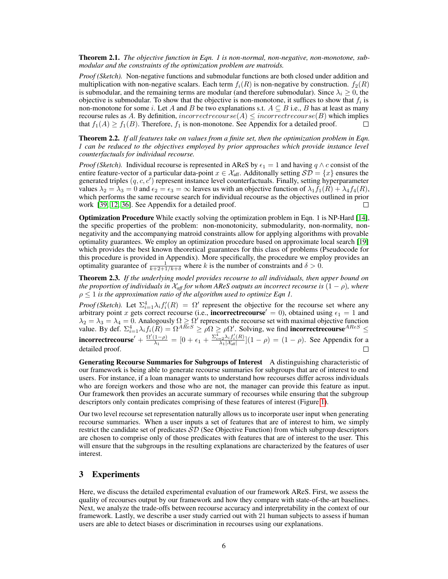Theorem 2.1. *The objective function in Eqn. 1 is non-normal, non-negative, non-monotone, submodular and the constraints of the optimization problem are matroids.*

*Proof (Sketch).* Non-negative functions and submodular functions are both closed under addition and multiplication with non-negative scalars. Each term  $f_i(R)$  is non-negative by construction.  $f_2(R)$ is submodular, and the remaining terms are modular (and therefore submodular). Since  $\lambda_i \geq 0$ , the objective is submodular. To show that the objective is non-monotone, it suffices to show that  $f_i$  is non-monotone for some i. Let A and B be two explanations s.t.  $A \subseteq B$  i.e., B has at least as many recourse rules as A. By definition, incorrectrecourse(A)  $\leq$  incorrectrecourse(B) which implies that  $f_1(A) \ge f_1(B)$ . Therefore,  $f_1$  is non-monotone. See Appendix for a detailed proof. П

Theorem 2.2. *If all features take on values from a finite set, then the optimization problem in Eqn. 1 can be reduced to the objectives employed by prior approaches which provide instance level counterfactuals for individual recourse.*

*Proof (Sketch).* Individual recourse is represented in AReS by  $\epsilon_1 = 1$  and having  $q \wedge c$  consist of the entire feature-vector of a particular data-point  $x \in \mathcal{X}_{\text{aff}}$ . Additonally setting  $\mathcal{SD} = \{x\}$  ensures the generated triples  $(q, c, c')$  represent instance level counterfactuals. Finally, setting hyperparameter values  $\lambda_2 = \lambda_3 = 0$  and  $\epsilon_2 = \epsilon_3 = \infty$  leaves us with an objective function of  $\lambda_1 f_1(R) + \lambda_4 f_4(R)$ , which performs the same recourse search for individual recourse as the objectives outlined in prior work [\[39,](#page-11-1) [12,](#page-9-0) [36\]](#page-11-2). See Appendix for a detailed proof.  $\Box$ 

Optimization Procedure While exactly solving the optimization problem in Eqn. 1 is NP-Hard [\[14\]](#page-9-13), the specific properties of the problem: non-monotonicity, submodularity, non-normality, nonnegativity and the accompanying matroid constraints allow for applying algorithms with provable optimality guarantees. We employ an optimization procedure based on approximate local search [\[19\]](#page-10-17) which provides the best known theoretical guarantees for this class of problems (Pseudocode for this procedure is provided in Appendix). More specifically, the procedure we employ provides an optimality guarantee of  $\frac{1}{k+2+1/k+\delta}$  where k is the number of constraints and  $\delta > 0$ .

Theorem 2.3. *If the underlying model provides recourse to all individuals, then upper bound on the proportion of individuals in*  $\chi$ *<sub>aff</sub> for whom AReS outputs an incorrect recourse is*  $(1 - \rho)$ *, where*  $\rho \leq 1$  *is the approximation ratio of the algorithm used to optimize Eqn 1.* 

*Proof (Sketch).* Let  $\Sigma_{i=1}^4 \lambda_i f_i'(R) = \Omega'$  represent the objective for the recourse set where any if the intervalse of the  $\Delta_{i=1}^N \lambda_i j_i(\mu) = \lambda_i$  represent the objective for the recourse set where any arbitrary point x gets correct recourse (i.e., **incorrect recourse**  $\ell = 0$ ), obtained using  $\epsilon_1 = 1$  and  $\lambda_2 = \lambda_3 = \lambda_4 = 0$ . Analogously  $\Omega \geq \Omega'$  represents the recourse set with maximal objective function value. By def.  $\Sigma_{i=1}^4 \lambda_i f_i(R) = \Omega^{ARES} \ge \rho \Omega \ge \rho \Omega'$ . Solving, we find **incorrectrecourse**  $^{ARES} \le$ **incorrectrecourse**<sup>'</sup> +  $\frac{\Omega'(1-\rho)}{\lambda}$  $\frac{(1-\rho)}{\lambda_1} = \big[ 0 + \epsilon_1 + \frac{\Sigma_{i=2}^4 \lambda_i f_i'(R)}{\lambda_1|\mathcal{X}_{\text{aff}}|} \big]$  $\frac{\sum_{i=2}^{n} \lambda_i J_i(R)}{\lambda_1 |\lambda_{\text{aff}}|}$   $(1 - \rho) = (1 - \rho)$ . See Appendix for a detailed proof.

Generating Recourse Summaries for Subgroups of Interest A distinguishing characteristic of our framework is being able to generate recourse summaries for subgroups that are of interest to end users. For instance, if a loan manager wants to understand how recourses differ across individuals who are foreign workers and those who are not, the manager can provide this feature as input. Our framework then provides an accurate summary of recourses while ensuring that the subgroup descriptors only contain predicates comprising of these features of interest (Figure [1\)](#page-1-0).

Our two level recourse set representation naturally allows us to incorporate user input when generating recourse summaries. When a user inputs a set of features that are of interest to him, we simply restrict the candidate set of predicates  $\mathcal{SD}$  (See Objective Function) from which subgroup descriptors are chosen to comprise only of those predicates with features that are of interest to the user. This will ensure that the subgroups in the resulting explanations are characterized by the features of user interest.

# 3 Experiments

Here, we discuss the detailed experimental evaluation of our framework AReS. First, we assess the quality of recourses output by our framework and how they compare with state-of-the-art baselines. Next, we analyze the trade-offs between recourse accuracy and interpretability in the context of our framework. Lastly, we describe a user study carried out with 21 human subjects to assess if human users are able to detect biases or discrimination in recourses using our explanations.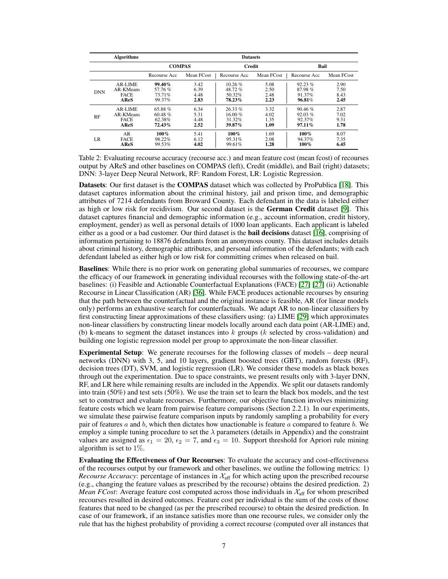<span id="page-6-0"></span>

|            | <b>Algorithms</b> | <b>Datasets</b> |            |               |            |              |            |  |  |
|------------|-------------------|-----------------|------------|---------------|------------|--------------|------------|--|--|
|            |                   | <b>COMPAS</b>   |            | <b>Credit</b> |            | Bail         |            |  |  |
|            |                   | Recourse Acc    | Mean FCost | Recourse Acc  | Mean FCost | Recourse Acc | Mean FCost |  |  |
| <b>DNN</b> | AR-LIME           | 99.40%          | 3.42       | $10.26 \%$    | 5.08       | 92.23%       | 2.90       |  |  |
|            | AR-KMeans         | 57.76%          | 6.39       | 48.72%        | 2.50       | 87.98%       | 7.50       |  |  |
|            | <b>FACE</b>       | 73.71%          | 4.48       | 50.32%        | 2.48       | 91.37%       | 8.43       |  |  |
|            | AReS              | 99.37%          | 2.83       | 78.23%        | 2.23       | 96.81%       | 2.45       |  |  |
| RF         | AR-LIME           | $65.88\%$       | 6.34       | $26.33\%$     | 3.32       | 90.46%       | 2.87       |  |  |
|            | AR-KMeans         | $60.48\%$       | 5.31       | $16.00 \%$    | 4.02       | 92.03%       | 7.02       |  |  |
|            | <b>FACE</b>       | 62.38%          | 4.48       | 31.32%        | 1.35       | 92.37%       | 9.31       |  |  |
|            | AReS              | $72.43\%$       | 2.52       | 39.87%        | 1.09       | $97.11\%$    | 1.78       |  |  |
| LR.        | AR                | $100\%$         | 5.41       | $100\%$       | 1.69       | 100%         | 8.07       |  |  |
|            | <b>FACE</b>       | 98.22%          | 6.12       | 95.31%        | 2.08       | 94.37%       | 7.35       |  |  |
|            | AReS              | 99.53%          | 4.02       | 99.61%        | 1.28       | $100\%$      | 6.45       |  |  |

Table 2: Evaluating recourse accuracy (recourse acc.) and mean feature cost (mean fcost) of recourses output by AReS and other baselines on COMPAS (left), Credit (middle), and Bail (right) datasets; DNN: 3-layer Deep Neural Network, RF: Random Forest, LR: Logistic Regression.

Datasets: Our first dataset is the COMPAS dataset which was collected by ProPublica [\[18\]](#page-10-18). This dataset captures information about the criminal history, jail and prison time, and demographic attributes of 7214 defendants from Broward County. Each defendant in the data is labeled either as high or low risk for recidivism. Our second dataset is the German Credit dataset [\[9\]](#page-9-14). This dataset captures financial and demographic information (e.g., account information, credit history, employment, gender) as well as personal details of 1000 loan applicants. Each applicant is labeled either as a good or a bad customer. Our third dataset is the **bail decisions** dataset [\[16\]](#page-9-15), comprising of information pertaining to 18876 defendants from an anonymous county. This dataset includes details about criminal history, demographic attributes, and personal information of the defendants; with each defendant labeled as either high or low risk for committing crimes when released on bail.

Baselines: While there is no prior work on generating global summaries of recourses, we compare the efficacy of our framework in generating individual recourses with the following state-of-the-art baselines: (i) Feasible and Actionable Counterfactual Explanations (FACE) [\[27\]](#page-10-0) [\[27\]](#page-10-0) (ii) Actionable Recourse in Linear Classification (AR) [\[36\]](#page-11-2). While FACE produces actionable recourses by ensuring that the path between the counterfactual and the original instance is feasible, AR (for linear models only) performs an exhaustive search for counterfactuals. We adapt AR to non-linear classifiers by first constructing linear approximations of these classifiers using: (a) LIME [\[29\]](#page-10-3) which approximates non-linear classifiers by constructing linear models locally around each data point (AR-LIME) and, (b) k-means to segment the dataset instances into  $k$  groups ( $k$  selected by cross-validation) and building one logistic regression model per group to approximate the non-linear classifier.

Experimental Setup: We generate recourses for the following classes of models – deep neural networks (DNN) with 3, 5, and 10 layers, gradient boosted trees (GBT), random forests (RF), decision trees (DT), SVM, and logistic regression (LR). We consider these models as black boxes through out the experimentation. Due to space constraints, we present results only with 3-layer DNN, RF, and LR here while remaining results are included in the Appendix. We split our datasets randomly into train (50%) and test sets (50%). We use the train set to learn the black box models, and the test set to construct and evaluate recourses. Furthermore, our objective function involves minimizing feature costs which we learn from pairwise feature comparisons (Section 2.2.1). In our experiments, we simulate these pairwise feature comparison inputs by randomly sampling a probability for every pair of features  $a$  and  $b$ , which then dictates how unactionable is feature  $a$  compared to feature  $b$ . We employ a simple tuning procedure to set the  $\lambda$  parameters (details in Appendix) and the constraint values are assigned as  $\epsilon_1 = 20$ ,  $\epsilon_2 = 7$ , and  $\epsilon_3 = 10$ . Support threshold for Apriori rule mining algorithm is set to 1%.

Evaluating the Effectiveness of Our Recourses: To evaluate the accuracy and cost-effectiveness of the recourses output by our framework and other baselines, we outline the following metrics: 1) *Recourse Accuracy*: percentage of instances in  $\mathcal{X}_{\text{aff}}$  for which acting upon the prescribed recourse (e.g., changing the feature values as prescribed by the recourse) obtains the desired prediction. 2) *Mean FCost*: Average feature cost computed across those individuals in  $\mathcal{X}_{\text{aff}}$  for whom prescribed recourses resulted in desired outcomes. Feature cost per individual is the sum of the costs of those features that need to be changed (as per the prescribed recourse) to obtain the desired prediction. In case of our framework, if an instance satisfies more than one recourse rules, we consider only the rule that has the highest probability of providing a correct recourse (computed over all instances that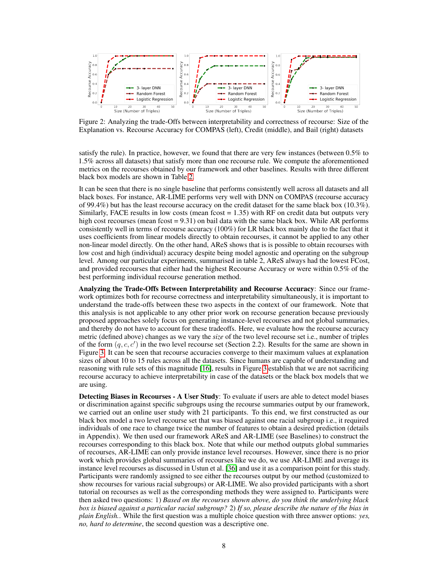

Figure 2: Analyzing the trade-Offs between interpretability and correctness of recourse: Size of the Explanation vs. Recourse Accuracy for COMPAS (left), Credit (middle), and Bail (right) datasets

satisfy the rule). In practice, however, we found that there are very few instances (between 0.5% to 1.5% across all datasets) that satisfy more than one recourse rule. We compute the aforementioned metrics on the recourses obtained by our framework and other baselines. Results with three different black box models are shown in Table [2.](#page-6-0)

It can be seen that there is no single baseline that performs consistently well across all datasets and all black boxes. For instance, AR-LIME performs very well with DNN on COMPAS (recourse accuracy of 99.4%) but has the least recourse accuracy on the credit dataset for the same black box (10.3%). Similarly, FACE results in low costs (mean fcost  $= 1.35$ ) with RF on credit data but outputs very high cost recourses (mean fcost = 9.31) on bail data with the same black box. While AR performs consistently well in terms of recourse accuracy (100%) for LR black box mainly due to the fact that it uses coefficients from linear models directly to obtain recourses, it cannot be applied to any other non-linear model directly. On the other hand, AReS shows that is is possible to obtain recourses with low cost and high (individual) accuracy despite being model agnostic and operating on the subgroup level. Among our particular experiments, summarised in table 2, AReS always had the lowest FCost, and provided recourses that either had the highest Recourse Accuracy or were within 0.5% of the best performing individual recourse generation method.

Analyzing the Trade-Offs Between Interpretability and Recourse Accuracy: Since our framework optimizes both for recourse correctness and interpretability simultaneously, it is important to understand the trade-offs between these two aspects in the context of our framework. Note that this analysis is not applicable to any other prior work on recourse generation because previously proposed approaches solely focus on generating instance-level recourses and not global summaries, and thereby do not have to account for these tradeoffs. Here, we evaluate how the recourse accuracy metric (defined above) changes as we vary the *size* of the two level recourse set i.e., number of triples of the form  $(q, c, c')$  in the two level recourse set (Section 2.2). Results for the same are shown in Figure [3.](#page-16-0) It can be seen that recourse accuracies converge to their maximum values at explanation sizes of about 10 to 15 rules across all the datasets. Since humans are capable of understanding and reasoning with rule sets of this magnitude [\[16\]](#page-9-15), results in Figure [3](#page-16-0) establish that we are not sacrificing recourse accuracy to achieve interpretability in case of the datasets or the black box models that we are using.

Detecting Biases in Recourses - A User Study: To evaluate if users are able to detect model biases or discrimination against specific subgroups using the recourse summaries output by our framework, we carried out an online user study with 21 participants. To this end, we first constructed as our black box model a two level recourse set that was biased against one racial subgroup i.e., it required individuals of one race to change twice the number of features to obtain a desired prediction (details in Appendix). We then used our framework AReS and AR-LIME (see Baselines) to construct the recourses corresponding to this black box. Note that while our method outputs global summaries of recourses, AR-LIME can only provide instance level recourses. However, since there is no prior work which provides global summaries of recourses like we do, we use AR-LIME and average its instance level recourses as discussed in Ustun et al. [\[36\]](#page-11-2) and use it as a comparison point for this study. Participants were randomly assigned to see either the recourses output by our method (customized to show recourses for various racial subgroups) or AR-LIME. We also provided participants with a short tutorial on recourses as well as the corresponding methods they were assigned to. Participants were then asked two questions: 1) *Based on the recourses shown above, do you think the underlying black box is biased against a particular racial subgroup?* 2) *If so, please describe the nature of the bias in plain English.*. While the first question was a multiple choice question with three answer options: *yes, no, hard to determine*, the second question was a descriptive one.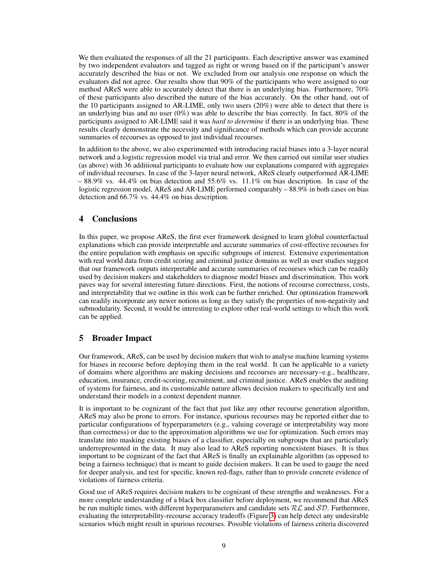We then evaluated the responses of all the 21 participants. Each descriptive answer was examined by two independent evaluators and tagged as right or wrong based on if the participant's answer accurately described the bias or not. We excluded from our analysis one response on which the evaluators did not agree. Our results show that 90% of the participants who were assigned to our method AReS were able to accurately detect that there is an underlying bias. Furthermore, 70% of these participants also described the nature of the bias accurately. On the other hand, out of the 10 participants assigned to AR-LIME, only two users (20%) were able to detect that there is an underlying bias and no user  $(0\%)$  was able to describe the bias correctly. In fact, 80% of the participants assigned to AR-LIME said it was *hard to determine* if there is an underlying bias. These results clearly demonstrate the necessity and significance of methods which can provide accurate summaries of recourses as opposed to just individual recourses.

In addition to the above, we also experimented with introducing racial biases into a 3-layer neural network and a logistic regression model via trial and error. We then carried out similar user studies (as above) with 36 additional participants to evaluate how our explanations compared with aggregates of individual recourses. In case of the 3-layer neural network, AReS clearly outperformed AR-LIME  $-88.9\%$  vs. 44.4% on bias detection and 55.6% vs. 11.1% on bias description. In case of the logistic regression model, AReS and AR-LIME performed comparably – 88.9% in both cases on bias detection and 66.7% vs. 44.4% on bias description.

# 4 Conclusions

In this paper, we propose AReS, the first ever framework designed to learn global counterfactual explanations which can provide interpretable and accurate summaries of cost-effective recourses for the entire population with emphasis on specific subgroups of interest. Extensive experimentation with real world data from credit scoring and criminal justice domains as well as user studies suggest that our framework outputs interpretable and accurate summaries of recourses which can be readily used by decision makers and stakeholders to diagnose model biases and discrimination. This work paves way for several interesting future directions. First, the notions of recourse correctness, costs, and interpretability that we outline in this work can be further enriched. Our optimization framework can readily incorporate any newer notions as long as they satisfy the properties of non-negativity and submodularity. Second, it would be interesting to explore other real-world settings to which this work can be applied.

# 5 Broader Impact

Our framework, AReS, can be used by decision makers that wish to analyse machine learning systems for biases in recourse before deploying them in the real world. It can be applicable to a variety of domains where algorithms are making decisions and recourses are necessary–e.g., healthcare, education, insurance, credit-scoring, recruitment, and criminal justice. AReS enables the auditing of systems for fairness, and its customizable nature allows decision makers to specifically test and understand their models in a context dependent manner.

It is important to be cognizant of the fact that just like any other recourse generation algorithm, AReS may also be prone to errors. For instance, spurious recourses may be reported either due to particular configurations of hyperparameters (e.g., valuing coverage or interpretability way more than correctness) or due to the approximation algorithms we use for optimization. Such errors may translate into masking existing biases of a classifier, especially on subgroups that are particularly underrepresented in the data. It may also lead to AReS reporting nonexistent biases. It is thus important to be cognizant of the fact that AReS is finally an explainable algorithm (as opposed to being a fairness technique) that is meant to guide decision makers. It can be used to gauge the need for deeper analysis, and test for specific, known red-flags, rather than to provide concrete evidence of violations of fairness criteria.

Good use of AReS requires decision makers to be cognizant of these strengths and weaknesses. For a more complete understanding of a black box classifier before deployment, we recommend that AReS be run multiple times, with different hyperparameters and candidate sets  $RL$  and  $SD$ . Furthermore, evaluating the interpretability-recourse accuracy tradeoffs (Figure [3\)](#page-16-0) can help detect any undesirable scenarios which might result in spurious recourses. Possible violations of fairness criteria discovered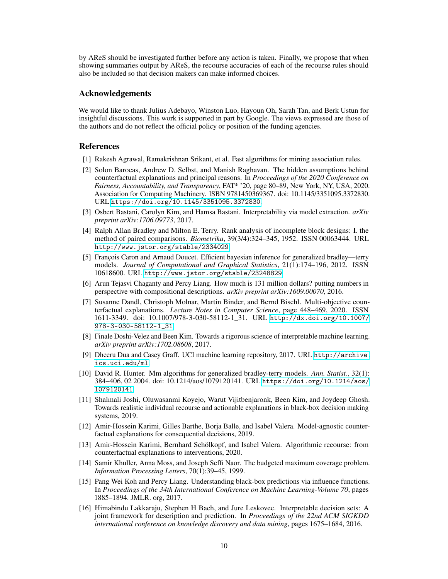by AReS should be investigated further before any action is taken. Finally, we propose that when showing summaries output by AReS, the recourse accuracies of each of the recourse rules should also be included so that decision makers can make informed choices.

# Acknowledgements

We would like to thank Julius Adebayo, Winston Luo, Hayoun Oh, Sarah Tan, and Berk Ustun for insightful discussions. This work is supported in part by Google. The views expressed are those of the authors and do not reflect the official policy or position of the funding agencies.

# References

- <span id="page-9-12"></span>[1] Rakesh Agrawal, Ramakrishnan Srikant, et al. Fast algorithms for mining association rules.
- <span id="page-9-7"></span>[2] Solon Barocas, Andrew D. Selbst, and Manish Raghavan. The hidden assumptions behind counterfactual explanations and principal reasons. In *Proceedings of the 2020 Conference on Fairness, Accountability, and Transparency*, FAT\* '20, page 80–89, New York, NY, USA, 2020. Association for Computing Machinery. ISBN 9781450369367. doi: 10.1145/3351095.3372830. URL <https://doi.org/10.1145/3351095.3372830>.
- <span id="page-9-3"></span>[3] Osbert Bastani, Carolyn Kim, and Hamsa Bastani. Interpretability via model extraction. *arXiv preprint arXiv:1706.09773*, 2017.
- <span id="page-9-9"></span>[4] Ralph Allan Bradley and Milton E. Terry. Rank analysis of incomplete block designs: I. the method of paired comparisons. *Biometrika*, 39(3/4):324–345, 1952. ISSN 00063444. URL <http://www.jstor.org/stable/2334029>.
- <span id="page-9-10"></span>[5] François Caron and Arnaud Doucet. Efficient bayesian inference for generalized bradley—terry models. *Journal of Computational and Graphical Statistics*, 21(1):174–196, 2012. ISSN 10618600. URL <http://www.jstor.org/stable/23248829>.
- <span id="page-9-8"></span>[6] Arun Tejasvi Chaganty and Percy Liang. How much is 131 million dollars? putting numbers in perspective with compositional descriptions. *arXiv preprint arXiv:1609.00070*, 2016.
- <span id="page-9-4"></span>[7] Susanne Dandl, Christoph Molnar, Martin Binder, and Bernd Bischl. Multi-objective counterfactual explanations. *Lecture Notes in Computer Science*, page 448–469, 2020. ISSN 1611-3349. doi: 10.1007/978-3-030-58112-1\_31. URL [http://dx.doi.org/10.1007/](http://dx.doi.org/10.1007/978-3-030-58112-1_31) [978-3-030-58112-1\\_31](http://dx.doi.org/10.1007/978-3-030-58112-1_31).
- <span id="page-9-1"></span>[8] Finale Doshi-Velez and Been Kim. Towards a rigorous science of interpretable machine learning. *arXiv preprint arXiv:1702.08608*, 2017.
- <span id="page-9-14"></span>[9] Dheeru Dua and Casey Graff. UCI machine learning repository, 2017. URL [http://archive.](http://archive.ics.uci.edu/ml) [ics.uci.edu/ml](http://archive.ics.uci.edu/ml).
- <span id="page-9-11"></span>[10] David R. Hunter. Mm algorithms for generalized bradley-terry models. *Ann. Statist.*, 32(1): 384–406, 02 2004. doi: 10.1214/aos/1079120141. URL [https://doi.org/10.1214/aos/](https://doi.org/10.1214/aos/1079120141) [1079120141](https://doi.org/10.1214/aos/1079120141).
- <span id="page-9-5"></span>[11] Shalmali Joshi, Oluwasanmi Koyejo, Warut Vijitbenjaronk, Been Kim, and Joydeep Ghosh. Towards realistic individual recourse and actionable explanations in black-box decision making systems, 2019.
- <span id="page-9-0"></span>[12] Amir-Hossein Karimi, Gilles Barthe, Borja Balle, and Isabel Valera. Model-agnostic counterfactual explanations for consequential decisions, 2019.
- <span id="page-9-6"></span>[13] Amir-Hossein Karimi, Bernhard Schölkopf, and Isabel Valera. Algorithmic recourse: from counterfactual explanations to interventions, 2020.
- <span id="page-9-13"></span>[14] Samir Khuller, Anna Moss, and Joseph Seffi Naor. The budgeted maximum coverage problem. *Information Processing Letters*, 70(1):39–45, 1999.
- <span id="page-9-2"></span>[15] Pang Wei Koh and Percy Liang. Understanding black-box predictions via influence functions. In *Proceedings of the 34th International Conference on Machine Learning-Volume 70*, pages 1885–1894. JMLR. org, 2017.
- <span id="page-9-15"></span>[16] Himabindu Lakkaraju, Stephen H Bach, and Jure Leskovec. Interpretable decision sets: A joint framework for description and prediction. In *Proceedings of the 22nd ACM SIGKDD international conference on knowledge discovery and data mining*, pages 1675–1684, 2016.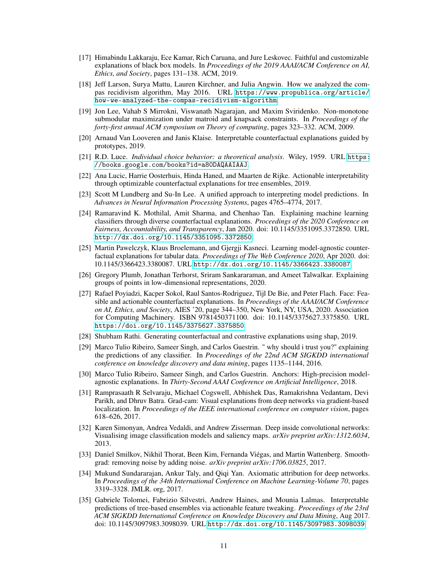- <span id="page-10-9"></span>[17] Himabindu Lakkaraju, Ece Kamar, Rich Caruana, and Jure Leskovec. Faithful and customizable explanations of black box models. In *Proceedings of the 2019 AAAI/ACM Conference on AI, Ethics, and Society*, pages 131–138. ACM, 2019.
- <span id="page-10-18"></span>[18] Jeff Larson, Surya Mattu, Lauren Kirchner, and Julia Angwin. How we analyzed the compas recidivism algorithm, May 2016. URL [https://www.propublica.org/article/](https://www.propublica.org/article/how-we-analyzed-the-compas-recidivism-algorithm) [how-we-analyzed-the-compas-recidivism-algorithm](https://www.propublica.org/article/how-we-analyzed-the-compas-recidivism-algorithm).
- <span id="page-10-17"></span>[19] Jon Lee, Vahab S Mirrokni, Viswanath Nagarajan, and Maxim Sviridenko. Non-monotone submodular maximization under matroid and knapsack constraints. In *Proceedings of the forty-first annual ACM symposium on Theory of computing*, pages 323–332. ACM, 2009.
- <span id="page-10-1"></span>[20] Arnaud Van Looveren and Janis Klaise. Interpretable counterfactual explanations guided by prototypes, 2019.
- <span id="page-10-16"></span>[21] R.D. Luce. *Individual choice behavior: a theoretical analysis*. Wiley, 1959. URL [https:](https://books.google.com/books?id=a80DAQAAIAAJ) [//books.google.com/books?id=a80DAQAAIAAJ](https://books.google.com/books?id=a80DAQAAIAAJ).
- <span id="page-10-14"></span>[22] Ana Lucic, Harrie Oosterhuis, Hinda Haned, and Maarten de Rijke. Actionable interpretability through optimizable counterfactual explanations for tree ensembles, 2019.
- <span id="page-10-4"></span>[23] Scott M Lundberg and Su-In Lee. A unified approach to interpreting model predictions. In *Advances in Neural Information Processing Systems*, pages 4765–4774, 2017.
- <span id="page-10-15"></span>[24] Ramaravind K. Mothilal, Amit Sharma, and Chenhao Tan. Explaining machine learning classifiers through diverse counterfactual explanations. *Proceedings of the 2020 Conference on Fairness, Accountability, and Transparency*, Jan 2020. doi: 10.1145/3351095.3372850. URL <http://dx.doi.org/10.1145/3351095.3372850>.
- <span id="page-10-12"></span>[25] Martin Pawelczyk, Klaus Broelemann, and Gjergji Kasneci. Learning model-agnostic counterfactual explanations for tabular data. *Proceedings of The Web Conference 2020*, Apr 2020. doi: 10.1145/3366423.3380087. URL <http://dx.doi.org/10.1145/3366423.3380087>.
- <span id="page-10-10"></span>[26] Gregory Plumb, Jonathan Terhorst, Sriram Sankararaman, and Ameet Talwalkar. Explaining groups of points in low-dimensional representations, 2020.
- <span id="page-10-0"></span>[27] Rafael Poyiadzi, Kacper Sokol, Raul Santos-Rodriguez, Tijl De Bie, and Peter Flach. Face: Feasible and actionable counterfactual explanations. In *Proceedings of the AAAI/ACM Conference on AI, Ethics, and Society*, AIES '20, page 344–350, New York, NY, USA, 2020. Association for Computing Machinery. ISBN 9781450371100. doi: 10.1145/3375627.3375850. URL <https://doi.org/10.1145/3375627.3375850>.
- <span id="page-10-11"></span>[28] Shubham Rathi. Generating counterfactual and contrastive explanations using shap, 2019.
- <span id="page-10-3"></span>[29] Marco Tulio Ribeiro, Sameer Singh, and Carlos Guestrin. " why should i trust you?" explaining the predictions of any classifier. In *Proceedings of the 22nd ACM SIGKDD international conference on knowledge discovery and data mining*, pages 1135–1144, 2016.
- <span id="page-10-2"></span>[30] Marco Tulio Ribeiro, Sameer Singh, and Carlos Guestrin. Anchors: High-precision modelagnostic explanations. In *Thirty-Second AAAI Conference on Artificial Intelligence*, 2018.
- <span id="page-10-7"></span>[31] Ramprasaath R Selvaraju, Michael Cogswell, Abhishek Das, Ramakrishna Vedantam, Devi Parikh, and Dhruv Batra. Grad-cam: Visual explanations from deep networks via gradient-based localization. In *Proceedings of the IEEE international conference on computer vision*, pages 618–626, 2017.
- <span id="page-10-5"></span>[32] Karen Simonyan, Andrea Vedaldi, and Andrew Zisserman. Deep inside convolutional networks: Visualising image classification models and saliency maps. *arXiv preprint arXiv:1312.6034*, 2013.
- <span id="page-10-8"></span>[33] Daniel Smilkov, Nikhil Thorat, Been Kim, Fernanda Viégas, and Martin Wattenberg. Smoothgrad: removing noise by adding noise. *arXiv preprint arXiv:1706.03825*, 2017.
- <span id="page-10-6"></span>[34] Mukund Sundararajan, Ankur Taly, and Qiqi Yan. Axiomatic attribution for deep networks. In *Proceedings of the 34th International Conference on Machine Learning-Volume 70*, pages 3319–3328. JMLR. org, 2017.
- <span id="page-10-13"></span>[35] Gabriele Tolomei, Fabrizio Silvestri, Andrew Haines, and Mounia Lalmas. Interpretable predictions of tree-based ensembles via actionable feature tweaking. *Proceedings of the 23rd ACM SIGKDD International Conference on Knowledge Discovery and Data Mining*, Aug 2017. doi: 10.1145/3097983.3098039. URL <http://dx.doi.org/10.1145/3097983.3098039>.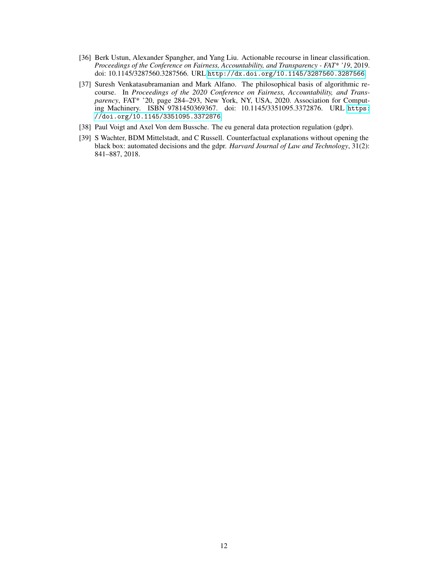- <span id="page-11-2"></span>[36] Berk Ustun, Alexander Spangher, and Yang Liu. Actionable recourse in linear classification. *Proceedings of the Conference on Fairness, Accountability, and Transparency - FAT\* '19*, 2019. doi: 10.1145/3287560.3287566. URL <http://dx.doi.org/10.1145/3287560.3287566>.
- <span id="page-11-3"></span>[37] Suresh Venkatasubramanian and Mark Alfano. The philosophical basis of algorithmic recourse. In *Proceedings of the 2020 Conference on Fairness, Accountability, and Transparency*, FAT\* '20, page 284–293, New York, NY, USA, 2020. Association for Computing Machinery. ISBN 9781450369367. doi: 10.1145/3351095.3372876. URL [https:](https://doi.org/10.1145/3351095.3372876) [//doi.org/10.1145/3351095.3372876](https://doi.org/10.1145/3351095.3372876).
- <span id="page-11-0"></span>[38] Paul Voigt and Axel Von dem Bussche. The eu general data protection regulation (gdpr).
- <span id="page-11-1"></span>[39] S Wachter, BDM Mittelstadt, and C Russell. Counterfactual explanations without opening the black box: automated decisions and the gdpr. *Harvard Journal of Law and Technology*, 31(2): 841–887, 2018.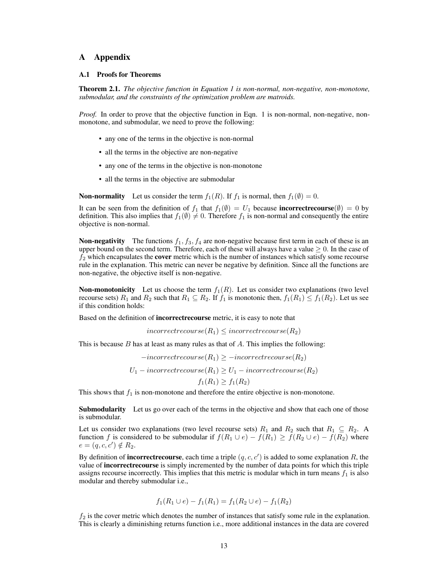## A Appendix

### A.1 Proofs for Theorems

Theorem 2.1. *The objective function in Equation 1 is non-normal, non-negative, non-monotone, submodular, and the constraints of the optimization problem are matroids.*

*Proof.* In order to prove that the objective function in Eqn. 1 is non-normal, non-negative, nonmonotone, and submodular, we need to prove the following:

- any one of the terms in the objective is non-normal
- all the terms in the objective are non-negative
- any one of the terms in the objective is non-monotone
- all the terms in the objective are submodular

**Non-normality** Let us consider the term  $f_1(R)$ . If  $f_1$  is normal, then  $f_1(\emptyset) = 0$ .

It can be seen from the definition of  $f_1$  that  $f_1(\emptyset) = U_1$  because **incorrectrecourse** $(\emptyset) = 0$  by definition. This also implies that  $f_1(\emptyset) \neq 0$ . Therefore  $f_1$  is non-normal and consequently the entire objective is non-normal.

**Non-negativity** The functions  $f_1$ ,  $f_3$ ,  $f_4$  are non-negative because first term in each of these is an upper bound on the second term. Therefore, each of these will always have a value  $\geq 0$ . In the case of  $f_2$  which encapsulates the **cover** metric which is the number of instances which satisfy some recourse rule in the explanation. This metric can never be negative by definition. Since all the functions are non-negative, the objective itself is non-negative.

**Non-monotonicity** Let us choose the term  $f_1(R)$ . Let us consider two explanations (two level recourse sets)  $R_1$  and  $R_2$  such that  $R_1 \subseteq R_2$ . If  $f_1$  is monotonic then,  $f_1(R_1) \leq f_1(R_2)$ . Let us see if this condition holds:

Based on the definition of incorrectrecourse metric, it is easy to note that

 $incorrectrecourse(R_1) \le incorrectrecourse(R_2)$ 

This is because  $B$  has at least as many rules as that of  $A$ . This implies the following:

 $-incorrectrecourse(R_1) \geq -incorrectrecourse(R_2)$  $U_1 - incorrectrecourse(R_1) \ge U_1 - incorrectrecourse(R_2)$  $f_1(R_1) \ge f_1(R_2)$ 

This shows that  $f_1$  is non-monotone and therefore the entire objective is non-monotone.

**Submodularity** Let us go over each of the terms in the objective and show that each one of those is submodular.

Let us consider two explanations (two level recourse sets)  $R_1$  and  $R_2$  such that  $R_1 \subseteq R_2$ . A function f is considered to be submodular if  $f(R_1 \cup e) - f(R_1) \ge f(R_2 \cup e) - f(R_2)$  where  $e = (q, c, c') \notin R_2.$ 

By definition of **incorrectrecourse**, each time a triple  $(q, c, c')$  is added to some explanation R, the value of **incorrectrecourse** is simply incremented by the number of data points for which this triple assigns recourse incorrectly. This implies that this metric is modular which in turn means  $f_1$  is also modular and thereby submodular i.e.,

$$
f_1(R_1 \cup e) - f_1(R_1) = f_1(R_2 \cup e) - f_1(R_2)
$$

 $f_2$  is the cover metric which denotes the number of instances that satisfy some rule in the explanation. This is clearly a diminishing returns function i.e., more additional instances in the data are covered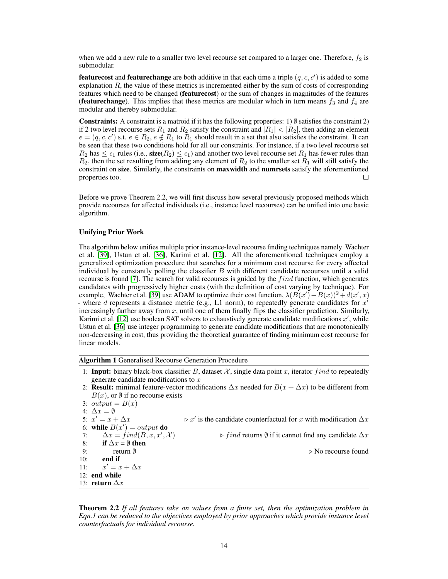when we add a new rule to a smaller two level recourse set compared to a larger one. Therefore,  $f_2$  is submodular.

**featurecost** and **featurechange** are both additive in that each time a triple  $(q, c, c')$  is added to some explanation  $R$ , the value of these metrics is incremented either by the sum of costs of corresponding features which need to be changed (featurecost) or the sum of changes in magnitudes of the features (featurechange). This implies that these metrics are modular which in turn means  $f_3$  and  $f_4$  are modular and thereby submodular.

**Constraints:** A constraint is a matroid if it has the following properties: 1)  $\emptyset$  satisfies the constraint 2) if 2 two level recourse sets  $R_1$  and  $R_2$  satisfy the constraint and  $|R_1| < |R_2|$ , then adding an element  $e = (q, c, c')$  s.t.  $e \in R_2, e \notin R_1$  to  $R_1$  should result in a set that also satisfies the constraint. It can be seen that these two conditions hold for all our constraints. For instance, if a two level recourse set  $R_2$  has  $\leq \epsilon_1$  rules (i.e., size( $R_2$ )  $\leq \epsilon_1$ ) and another two level recourse set  $R_1$  has fewer rules than  $R_2$ , then the set resulting from adding any element of  $R_2$  to the smaller set  $R_1$  will still satisfy the constraint on size. Similarly, the constraints on **maxwidth** and **numrsets** satisfy the aforementioned properties too. П

Before we prove Theorem 2.2, we will first discuss how several previously proposed methods which provide recourses for affected individuals (i.e., instance level recourses) can be unified into one basic algorithm.

### Unifying Prior Work

The algorithm below unifies multiple prior instance-level recourse finding techniques namely Wachter et al. [\[39\]](#page-11-1), Ustun et al. [\[36\]](#page-11-2), Karimi et al. [\[12\]](#page-9-0). All the aforementioned techniques employ a generalized optimization procedure that searches for a minimum cost recourse for every affected individual by constantly polling the classifier  $B$  with different candidate recourses until a valid recourse is found [\[7\]](#page-9-4). The search for valid recourses is guided by the find function, which generates candidates with progressively higher costs (with the definition of cost varying by technique). For example, Wachter et al. [\[39\]](#page-11-1) use ADAM to optimize their cost function,  $\lambda (B(x') - B(x))^2 + d(x', x)$ - where d represents a distance metric (e.g., L1 norm), to repeatedly generate candidates for  $x'$ increasingly farther away from  $x$ , until one of them finally flips the classifier prediction. Similarly, Karimi et al. [\[12\]](#page-9-0) use boolean SAT solvers to exhaustively generate candidate modifications  $x'$ , while Ustun et al. [\[36\]](#page-11-2) use integer programming to generate candidate modifications that are monotonically non-decreasing in cost, thus providing the theoretical guarantee of finding minimum cost recourse for linear models.

Algorithm 1 Generalised Recourse Generation Procedure

- 1: **Input:** binary black-box classifier B, dataset  $X$ , single data point x, iterator find to repeatedly generate candidate modifications to x
- 2: **Result:** minimal feature-vector modifications  $\Delta x$  needed for  $B(x + \Delta x)$  to be different from  $B(x)$ , or  $\emptyset$  if no recourse exists

3:  $output = B(x)$ 4:  $\Delta x = \emptyset$ 5:  $x' = x + \Delta x$   $\triangleright x'$  $\triangleright x'$  is the candidate counterfactual for x with modification  $\Delta x$ 6: while  $B(x') = output$  do 7:  $\Delta x = \text{find}(B, x, x', \mathcal{X})$  $\triangleright$  f ind returns  $\emptyset$  if it cannot find any candidate  $\Delta x$ 8: if  $\Delta x = \emptyset$  then 9: return  $\emptyset$  . The return  $\emptyset$  . The results of  $\triangleright$  No recourse found 10: end if  $11$  $x' = x + \Delta x$ 12: end while 13: return  $\Delta x$ 

Theorem 2.2 *If all features take on values from a finite set, then the optimization problem in Eqn.1 can be reduced to the objectives employed by prior approaches which provide instance level counterfactuals for individual recourse.*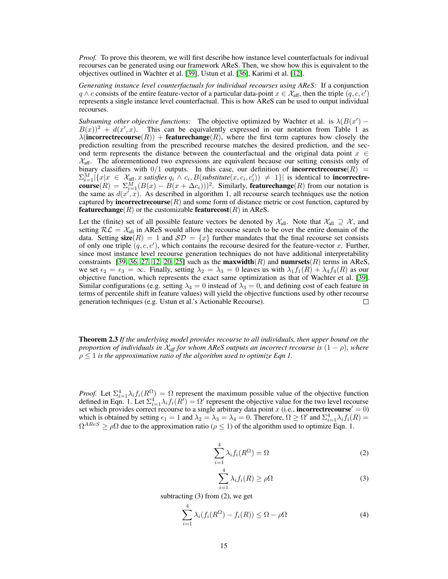*Proof.* To prove this theorem, we will first describe how instance level counterfactuals for indivual recourses can be generated using our framework AReS. Then, we show how this is equivalent to the objectives outlined in Wachter et al. [\[39\]](#page-11-1), Ustun et al. [\[36\]](#page-11-2), Karimi et al. [\[12\]](#page-9-0).

*Generating instance level counterfactuals for individual recourses using AReS:* If a conjunction  $q \wedge c$  consists of the entire feature-vector of a particular data-point  $x \in \mathcal{X}_{\text{aff}}$ , then the triple  $(q, c, c')$ represents a single instance level counterfactual. This is how AReS can be used to output individual recourses.

*Subsuming other objective functions:* The objective optimized by Wachter et al. is  $\lambda(B(x'))$  –  $B(x)$ <sup>2</sup> +  $d(x', x)$ . This can be equivalently expressed in our notation from Table 1 as  $\lambda$ (incorrectrecourse(R)) + featurechange(R), where the first term captures how closely the prediction resulting from the prescribed recourse matches the desired prediction, and the second term represents the distance between the counterfactual and the original data point  $x \in$  $\mathcal{X}_{\text{aff}}$ . The aforementioned two expressions are equivalent because our setting consists only of binary classifiers with  $0/1$  outputs. In this case, our definition of **incorrectrecourse** $(R)$  =  $\sum_{i=1}^{M} |\{x | x \in \mathcal{X}_{\text{aff}}, x \text{ satisfies } q_i \wedge c_i, B(\text{substitute}(x, c_i, c'_i)) \neq 1\}|$  is identical to **incorrectre**course $(R) = \sum_{i=1}^{M} (B(x) - B(x + \Delta c_i)))^2$ . Similarly, featurechange $(R)$  from our notation is the same as  $d(x', \overline{x})$ . As described in algorithm 1, all recourse search techniques use the notion captured by **incorrectrecourse**  $(R)$  and some form of distance metric or cost function, captured by **featurechange**(R) or the customizable **featurecost**(R) in AReS.

Let the (finite) set of all possible feature vectors be denoted by  $\mathcal{X}_{all}$ . Note that  $\mathcal{X}_{all} \supseteq \mathcal{X}$ , and setting  $RL = X_{all}$  in AReS would allow the recourse search to be over the entire domain of the data. Setting size(R) = 1 and  $\mathcal{SD} = \{x\}$  further mandates that the final recourse set consists of only one triple  $(q, c, c')$ , which contains the recourse desired for the feature-vector x. Further, since most instance level recourse generation techniques do not have additional interpretability constraints [\[39,](#page-11-1) [36,](#page-11-2) [27,](#page-10-0) [12,](#page-9-0) [20,](#page-10-1) [25\]](#page-10-12) such as the **maxwidth** $(R)$  and **numrsets** $(R)$  terms in AReS, we set  $\epsilon_2 = \epsilon_3 = \infty$ . Finally, setting  $\lambda_2 = \lambda_3 = 0$  leaves us with  $\lambda_1 f_1(R) + \lambda_4 f_4(R)$  as our objective function, which represents the exact same optimization as that of Wachter et al. [\[39\]](#page-11-1). Similar configurations (e.g. setting  $\lambda_4 = 0$  instead of  $\lambda_3 = 0$ , and defining cost of each feature in terms of percentile shift in feature values) will yield the objective functions used by other recourse generation techniques (e.g. Ustun et al.'s Actionable Recourse).  $\Box$ 

Theorem 2.3 *If the underlying model provides recourse to all individuals, then upper bound on the proportion of individuals in*  $\mathcal{X}_{\text{aff}}$  *for whom AReS outputs an incorrect recourse is*  $(1 - \rho)$ *, where*  $\rho \leq 1$  *is the approximation ratio of the algorithm used to optimize Eqn 1.* 

*Proof.* Let  $\Sigma_{i=1}^4 \lambda_i f_i(R^{\Omega}) = \Omega$  represent the maximum possible value of the objective function defined in Eqn. 1. Let  $\Sigma_{i=1}^4 \lambda_i f_i(R') = \Omega'$  represent the objective value for the two level recourse set which provides correct recourse to a single arbitrary data point x (i.e., incorrectrecourse' = 0) which is obtained by setting  $\epsilon_1 = 1$  and  $\lambda_2 = \lambda_3 = \lambda_4 = 0$ . Therefore,  $\Omega \ge \Omega'$  and  $\Sigma_{i=1}^4 \lambda_i f_i(R) =$  $\Omega^{ARES} \ge \rho \Omega$  due to the approximation ratio ( $\rho \le 1$ ) of the algorithm used to optimize Eqn. 1.

$$
\sum_{i=1}^{4} \lambda_i f_i(R^{\Omega}) = \Omega
$$
 (2)

$$
\sum_{i=1}^{4} \lambda_i f_i(R) \ge \rho \Omega \tag{3}
$$

subtracting  $(3)$  from  $(2)$ , we get

$$
\sum_{i=1}^{4} \lambda_i (f_i(R^{\Omega}) - f_i(R)) \leq \Omega - \rho \Omega \tag{4}
$$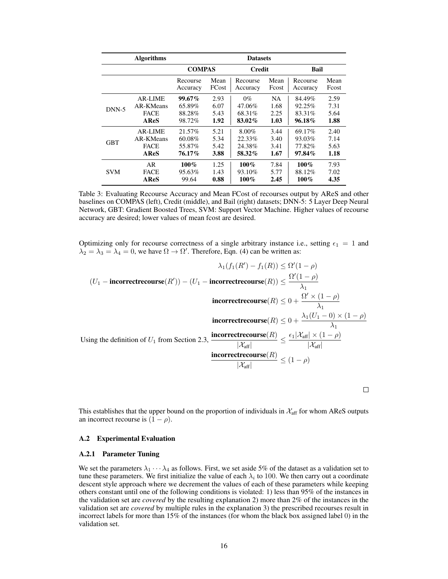|            | <b>Algorithms</b> | <b>Datasets</b>      |               |                      |               |                      |               |  |
|------------|-------------------|----------------------|---------------|----------------------|---------------|----------------------|---------------|--|
|            |                   | <b>COMPAS</b>        |               | Credit               |               | Bail                 |               |  |
|            |                   | Recourse<br>Accuracy | Mean<br>FCost | Recourse<br>Accuracy | Mean<br>Foost | Recourse<br>Accuracy | Mean<br>Fcost |  |
| $DNN-5$    | AR-LIME           | $99.67\%$            | 2.93          | $0\%$                | NA.           | 84.49%               | 2.59          |  |
|            | AR-KMeans         | 65.89%               | 6.07          | 47.06%               | 1.68          | 92.25%               | 7.31          |  |
|            | <b>FACE</b>       | 88.28%               | 5.43          | 68.31%               | 2.25          | 83.31\%              | 5.64          |  |
|            | AReS              | 98.72%               | 1.92          | 83.02%               | 1.03          | 96.18%               | 1.88          |  |
| <b>GBT</b> | AR-LIME           | 21.57%               | 5.21          | $8.00\%$             | 3.44          | 69.17%               | 2.40          |  |
|            | AR-KMeans         | 60.08%               | 5.34          | 22.33%               | 3.40          | 93.03%               | 7.14          |  |
|            | <b>FACE</b>       | 55.87%               | 5.42          | 24.38%               | 3.41          | 77.82%               | 5.63          |  |
|            | AReS              | 76.17%               | 3.88          | 58.32%               | 1.67          | 97.84%               | 1.18          |  |
| <b>SVM</b> | AR                | $100\%$              | 1.25          | $100\%$              | 7.84          | $100\%$              | 7.93          |  |
|            | <b>FACE</b>       | 95.63%               | 1.43          | 93.10\%              | 5.77          | 88.12%               | 7.02          |  |
|            | <b>AReS</b>       | 99.64                | 0.88          | $100\%$              | 2.45          | $100\%$              | 4.35          |  |

Table 3: Evaluating Recourse Accuracy and Mean FCost of recourses output by AReS and other baselines on COMPAS (left), Credit (middle), and Bail (right) datasets; DNN-5: 5 Layer Deep Neural Network, GBT: Gradient Boosted Trees, SVM: Support Vector Machine. Higher values of recourse accuracy are desired; lower values of mean fcost are desired.

Optimizing only for recourse correctness of a single arbitrary instance i.e., setting  $\epsilon_1 = 1$  and  $\lambda_2 = \lambda_3 = \lambda_4 = 0$ , we have  $\Omega \to \Omega'$ . Therefore, Eqn. (4) can be written as:

$$
\lambda_1(f_1(R') - f_1(R)) \le \Omega'(1 - \rho)
$$
  
(U<sub>1</sub> - **incorrectrecourse**(R')) - (U<sub>1</sub> - **incorrectrecourse**(R))  $\le \frac{\Omega'(1 - \rho)}{\lambda_1}$   
**incorrectrecourse**(R)  $\le 0 + \frac{\Omega' \times (1 - \rho)}{\lambda_1}$   
**incorrectrecourse**(R)  $\le 0 + \frac{\lambda_1(U_1 - 0) \times (1 - \rho)}{\lambda_1}$   
Using the definition of U<sub>1</sub> from Section 2.3, **incorrectrecourse**(R)  $\le \frac{\epsilon_1 |\mathcal{X}_{\text{aff}}| \times (1 - \rho)}{|\mathcal{X}_{\text{aff}}|}$   
**incorrectrecourse**(R)  $\le (1 - \rho)$ 

 $\Box$ 

This establishes that the upper bound on the proportion of individuals in  $\mathcal{X}_{\text{aff}}$  for whom AReS outputs an incorrect recourse is  $(1 - \rho)$ .

### A.2 Experimental Evaluation

### A.2.1 Parameter Tuning

We set the parameters  $\lambda_1 \cdots \lambda_4$  as follows. First, we set aside 5% of the dataset as a validation set to tune these parameters. We first initialize the value of each  $\lambda_i$  to 100. We then carry out a coordinate descent style approach where we decrement the values of each of these parameters while keeping others constant until one of the following conditions is violated: 1) less than 95% of the instances in the validation set are *covered* by the resulting explanation 2) more than 2% of the instances in the validation set are *covered* by multiple rules in the explanation 3) the prescribed recourses result in incorrect labels for more than 15% of the instances (for whom the black box assigned label 0) in the validation set.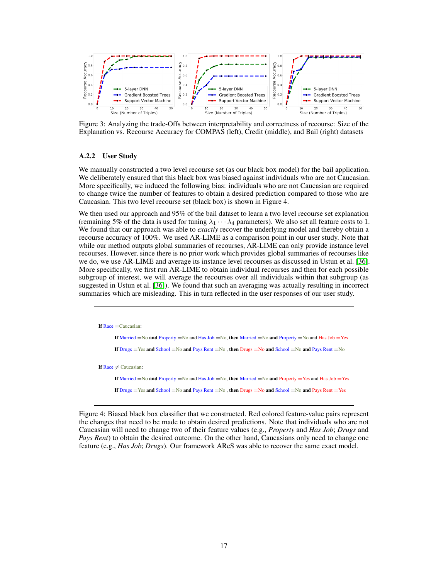<span id="page-16-0"></span>

Figure 3: Analyzing the trade-Offs between interpretability and correctness of recourse: Size of the Explanation vs. Recourse Accuracy for COMPAS (left), Credit (middle), and Bail (right) datasets

### A.2.2 User Study

We manually constructed a two level recourse set (as our black box model) for the bail application. We deliberately ensured that this black box was biased against individuals who are not Caucasian. More specifically, we induced the following bias: individuals who are not Caucasian are required to change twice the number of features to obtain a desired prediction compared to those who are Caucasian. This two level recourse set (black box) is shown in Figure 4.

We then used our approach and 95% of the bail dataset to learn a two level recourse set explanation (remaining 5% of the data is used for tuning  $\lambda_1 \cdots \lambda_4$  parameters). We also set all feature costs to 1. We found that our approach was able to *exactly* recover the underlying model and thereby obtain a recourse accuracy of 100%. We used AR-LIME as a comparison point in our user study. Note that while our method outputs global summaries of recourses, AR-LIME can only provide instance level recourses. However, since there is no prior work which provides global summaries of recourses like we do, we use AR-LIME and average its instance level recourses as discussed in Ustun et al. [\[36\]](#page-11-2). More specifically, we first run AR-LIME to obtain individual recourses and then for each possible subgroup of interest, we will average the recourses over all individuals within that subgroup (as suggested in Ustun et al. [\[36\]](#page-11-2)). We found that such an averaging was actually resulting in incorrect summaries which are misleading. This in turn reflected in the user responses of our user study.



Figure 4: Biased black box classifier that we constructed. Red colored feature-value pairs represent the changes that need to be made to obtain desired predictions. Note that individuals who are not Caucasian will need to change two of their feature values (e.g., *Property* and *Has Job*; *Drugs* and *Pays Rent*) to obtain the desired outcome. On the other hand, Caucasians only need to change one feature (e.g., *Has Job*; *Drugs*). Our framework AReS was able to recover the same exact model.